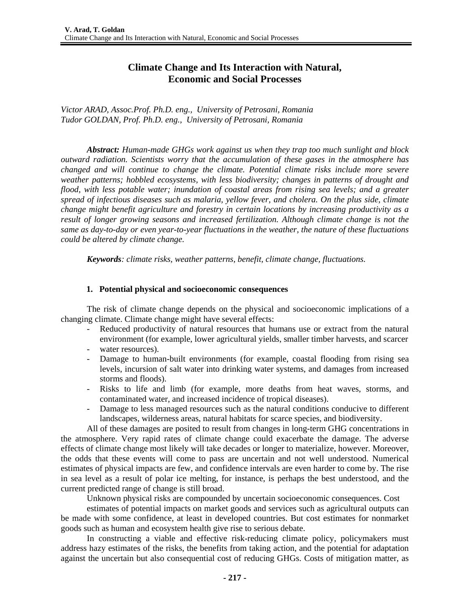# **Climate Change and Its Interaction with Natural, Economic and Social Processes**

*Victor ARAD, Assoc.Prof. Ph.D. eng., University of Petrosani, Romania Tudor GOLDAN, Prof. Ph.D. eng., University of Petrosani, Romania* 

*Abstract: Human-made GHGs work against us when they trap too much sunlight and block outward radiation. Scientists worry that the accumulation of these gases in the atmosphere has changed and will continue to change the climate. Potential climate risks include more severe weather patterns; hobbled ecosystems, with less biodiversity; changes in patterns of drought and flood, with less potable water; inundation of coastal areas from rising sea levels; and a greater spread of infectious diseases such as malaria, yellow fever, and cholera. On the plus side, climate change might benefit agriculture and forestry in certain locations by increasing productivity as a result of longer growing seasons and increased fertilization. Although climate change is not the same as day-to-day or even year-to-year fluctuations in the weather, the nature of these fluctuations could be altered by climate change.* 

*Keywords: climate risks, weather patterns, benefit, climate change, fluctuations.* 

### **1. Potential physical and socioeconomic consequences**

The risk of climate change depends on the physical and socioeconomic implications of a changing climate. Climate change might have several effects:

- Reduced productivity of natural resources that humans use or extract from the natural environment (for example, lower agricultural yields, smaller timber harvests, and scarcer
- water resources).
- Damage to human-built environments (for example, coastal flooding from rising sea levels, incursion of salt water into drinking water systems, and damages from increased storms and floods).
- Risks to life and limb (for example, more deaths from heat waves, storms, and contaminated water, and increased incidence of tropical diseases).
- Damage to less managed resources such as the natural conditions conducive to different landscapes, wilderness areas, natural habitats for scarce species, and biodiversity.

All of these damages are posited to result from changes in long-term GHG concentrations in the atmosphere. Very rapid rates of climate change could exacerbate the damage. The adverse effects of climate change most likely will take decades or longer to materialize, however. Moreover, the odds that these events will come to pass are uncertain and not well understood. Numerical estimates of physical impacts are few, and confidence intervals are even harder to come by. The rise in sea level as a result of polar ice melting, for instance, is perhaps the best understood, and the current predicted range of change is still broad.

Unknown physical risks are compounded by uncertain socioeconomic consequences. Cost

estimates of potential impacts on market goods and services such as agricultural outputs can be made with some confidence, at least in developed countries. But cost estimates for nonmarket goods such as human and ecosystem health give rise to serious debate.

In constructing a viable and effective risk-reducing climate policy, policymakers must address hazy estimates of the risks, the benefits from taking action, and the potential for adaptation against the uncertain but also consequential cost of reducing GHGs. Costs of mitigation matter, as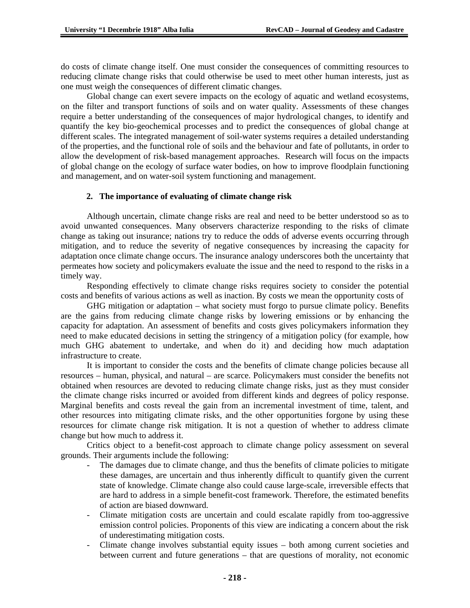do costs of climate change itself. One must consider the consequences of committing resources to reducing climate change risks that could otherwise be used to meet other human interests, just as one must weigh the consequences of different climatic changes.

Global change can exert severe impacts on the ecology of aquatic and wetland ecosystems, on the filter and transport functions of soils and on water quality. Assessments of these changes require a better understanding of the consequences of major hydrological changes, to identify and quantify the key bio-geochemical processes and to predict the consequences of global change at different scales. The integrated management of soil-water systems requires a detailed understanding of the properties, and the functional role of soils and the behaviour and fate of pollutants, in order to allow the development of risk-based management approaches. Research will focus on the impacts of global change on the ecology of surface water bodies, on how to improve floodplain functioning and management, and on water-soil system functioning and management.

#### **2. The importance of evaluating of climate change risk**

Although uncertain, climate change risks are real and need to be better understood so as to avoid unwanted consequences. Many observers characterize responding to the risks of climate change as taking out insurance; nations try to reduce the odds of adverse events occurring through mitigation, and to reduce the severity of negative consequences by increasing the capacity for adaptation once climate change occurs. The insurance analogy underscores both the uncertainty that permeates how society and policymakers evaluate the issue and the need to respond to the risks in a timely way.

Responding effectively to climate change risks requires society to consider the potential costs and benefits of various actions as well as inaction. By costs we mean the opportunity costs of

GHG mitigation or adaptation – what society must forgo to pursue climate policy. Benefits are the gains from reducing climate change risks by lowering emissions or by enhancing the capacity for adaptation. An assessment of benefits and costs gives policymakers information they need to make educated decisions in setting the stringency of a mitigation policy (for example, how much GHG abatement to undertake, and when do it) and deciding how much adaptation infrastructure to create.

It is important to consider the costs and the benefits of climate change policies because all resources – human, physical, and natural – are scarce. Policymakers must consider the benefits not obtained when resources are devoted to reducing climate change risks, just as they must consider the climate change risks incurred or avoided from different kinds and degrees of policy response. Marginal benefits and costs reveal the gain from an incremental investment of time, talent, and other resources into mitigating climate risks, and the other opportunities forgone by using these resources for climate change risk mitigation. It is not a question of whether to address climate change but how much to address it.

Critics object to a benefit-cost approach to climate change policy assessment on several grounds. Their arguments include the following:

- The damages due to climate change, and thus the benefits of climate policies to mitigate these damages, are uncertain and thus inherently difficult to quantify given the current state of knowledge. Climate change also could cause large-scale, irreversible effects that are hard to address in a simple benefit-cost framework. Therefore, the estimated benefits of action are biased downward.
- Climate mitigation costs are uncertain and could escalate rapidly from too-aggressive emission control policies. Proponents of this view are indicating a concern about the risk of underestimating mitigation costs.
- Climate change involves substantial equity issues both among current societies and between current and future generations – that are questions of morality, not economic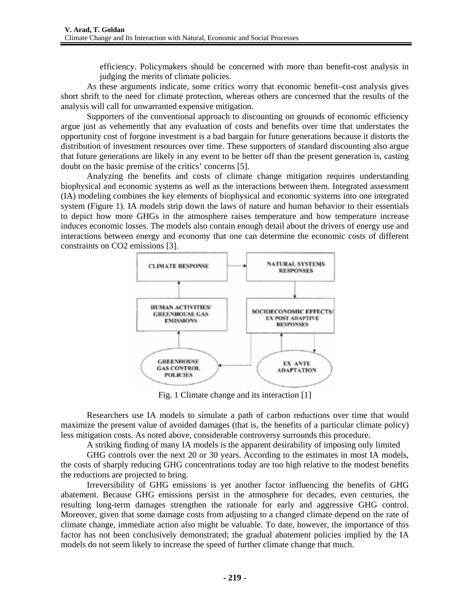efficiency. Policymakers should be concerned with more than benefit-cost analysis in judging the merits of climate policies.

As these arguments indicate, some critics worry that economic benefit–cost analysis gives short shrift to the need for climate protection, whereas others are concerned that the results of the analysis will call for unwarranted expensive mitigation.

Supporters of the conventional approach to discounting on grounds of economic efficiency argue just as vehemently that any evaluation of costs and benefits over time that understates the opportunity cost of forgone investment is a bad bargain for future generations because it distorts the distribution of investment resources over time. These supporters of standard discounting also argue that future generations are likely in any event to be better off than the present generation is, casting doubt on the basic premise of the critics' concerns [5].

Analyzing the benefits and costs of climate change mitigation requires understanding biophysical and economic systems as well as the interactions between them. Integrated assessment (IA) modeling combines the key elements of biophysical and economic systems into one integrated system (Figure 1). IA models strip down the laws of nature and human behavior to their essentials to depict how more GHGs in the atmosphere raises temperature and how temperature increase induces economic losses. The models also contain enough detail about the drivers of energy use and interactions between energy and economy that one can determine the economic costs of different constraints on CO2 emissions [3].



Fig. 1 Climate change and its interaction [1]

Researchers use IA models to simulate a path of carbon reductions over time that would maximize the present value of avoided damages (that is, the benefits of a particular climate policy) less mitigation costs. As noted above, considerable controversy surrounds this procedure.

A striking finding of many IA models is the apparent desirability of imposing only limited

GHG controls over the next 20 or 30 years. According to the estimates in most IA models, the costs of sharply reducing GHG concentrations today are too high relative to the modest benefits the reductions are projected to bring.

Irreversibility of GHG emissions is yet another factor influencing the benefits of GHG abatement. Because GHG emissions persist in the atmosphere for decades, even centuries, the resulting long-term damages strengthen the rationale for early and aggressive GHG control. Moreover, given that some damage costs from adjusting to a changed climate depend on the rate of climate change, immediate action also might be valuable. To date, however, the importance of this factor has not been conclusively demonstrated; the gradual abatement policies implied by the IA models do not seem likely to increase the speed of further climate change that much.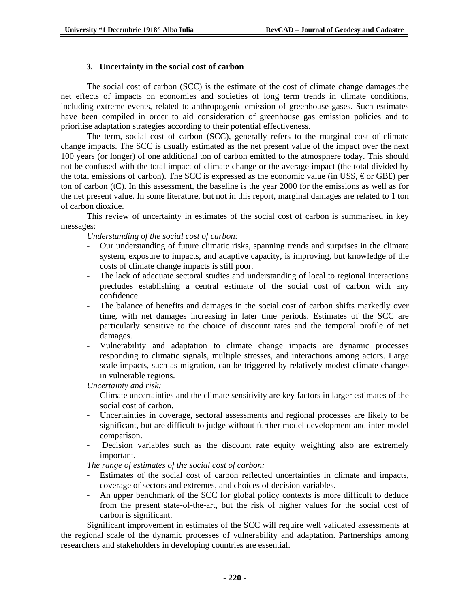### **3. Uncertainty in the social cost of carbon**

The social cost of carbon (SCC) is the estimate of the cost of climate change damages.the net effects of impacts on economies and societies of long term trends in climate conditions, including extreme events, related to anthropogenic emission of greenhouse gases. Such estimates have been compiled in order to aid consideration of greenhouse gas emission policies and to prioritise adaptation strategies according to their potential effectiveness.

The term, social cost of carbon (SCC), generally refers to the marginal cost of climate change impacts. The SCC is usually estimated as the net present value of the impact over the next 100 years (or longer) of one additional ton of carbon emitted to the atmosphere today. This should not be confused with the total impact of climate change or the average impact (the total divided by the total emissions of carbon). The SCC is expressed as the economic value (in US\$,  $\epsilon$ or GB£) per ton of carbon (tC). In this assessment, the baseline is the year 2000 for the emissions as well as for the net present value. In some literature, but not in this report, marginal damages are related to 1 ton of carbon dioxide.

This review of uncertainty in estimates of the social cost of carbon is summarised in key messages:

*Understanding of the social cost of carbon:* 

- Our understanding of future climatic risks, spanning trends and surprises in the climate system, exposure to impacts, and adaptive capacity, is improving, but knowledge of the costs of climate change impacts is still poor.
- The lack of adequate sectoral studies and understanding of local to regional interactions precludes establishing a central estimate of the social cost of carbon with any confidence.
- The balance of benefits and damages in the social cost of carbon shifts markedly over time, with net damages increasing in later time periods. Estimates of the SCC are particularly sensitive to the choice of discount rates and the temporal profile of net damages.
- Vulnerability and adaptation to climate change impacts are dynamic processes responding to climatic signals, multiple stresses, and interactions among actors. Large scale impacts, such as migration, can be triggered by relatively modest climate changes in vulnerable regions.

*Uncertainty and risk:* 

- Climate uncertainties and the climate sensitivity are key factors in larger estimates of the social cost of carbon.
- Uncertainties in coverage, sectoral assessments and regional processes are likely to be significant, but are difficult to judge without further model development and inter-model comparison.
- Decision variables such as the discount rate equity weighting also are extremely important.

*The range of estimates of the social cost of carbon:* 

- Estimates of the social cost of carbon reflected uncertainties in climate and impacts, coverage of sectors and extremes, and choices of decision variables.
- An upper benchmark of the SCC for global policy contexts is more difficult to deduce from the present state-of-the-art, but the risk of higher values for the social cost of carbon is significant.

Significant improvement in estimates of the SCC will require well validated assessments at the regional scale of the dynamic processes of vulnerability and adaptation. Partnerships among researchers and stakeholders in developing countries are essential.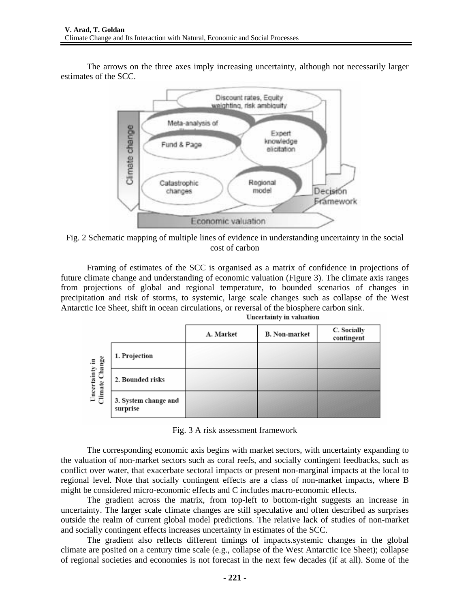The arrows on the three axes imply increasing uncertainty, although not necessarily larger estimates of the SCC.



Fig. 2 Schematic mapping of multiple lines of evidence in understanding uncertainty in the social cost of carbon

Framing of estimates of the SCC is organised as a matrix of confidence in projections of future climate change and understanding of economic valuation (Figure 3). The climate axis ranges from projections of global and regional temperature, to bounded scenarios of changes in precipitation and risk of storms, to systemic, large scale changes such as collapse of the West Antarctic Ice Sheet, shift in ocean circulations, or reversal of the biosphere carbon sink.

|                                  |                                  | A. Market | <b>B. Non-market</b> | C. Socially<br>contingent |
|----------------------------------|----------------------------------|-----------|----------------------|---------------------------|
| Uncertainty in<br>Climate Change | 1. Projection                    |           |                      |                           |
|                                  | 2. Bounded risks                 |           |                      |                           |
|                                  | 3. System change and<br>surprise |           |                      |                           |
|                                  |                                  |           |                      |                           |

Uncertainty in valuation

Fig. 3 A risk assessment framework

The corresponding economic axis begins with market sectors, with uncertainty expanding to the valuation of non-market sectors such as coral reefs, and socially contingent feedbacks, such as conflict over water, that exacerbate sectoral impacts or present non-marginal impacts at the local to regional level. Note that socially contingent effects are a class of non-market impacts, where B might be considered micro-economic effects and C includes macro-economic effects.

The gradient across the matrix, from top-left to bottom-right suggests an increase in uncertainty. The larger scale climate changes are still speculative and often described as surprises outside the realm of current global model predictions. The relative lack of studies of non-market and socially contingent effects increases uncertainty in estimates of the SCC.

The gradient also reflects different timings of impacts.systemic changes in the global climate are posited on a century time scale (e.g., collapse of the West Antarctic Ice Sheet); collapse of regional societies and economies is not forecast in the next few decades (if at all). Some of the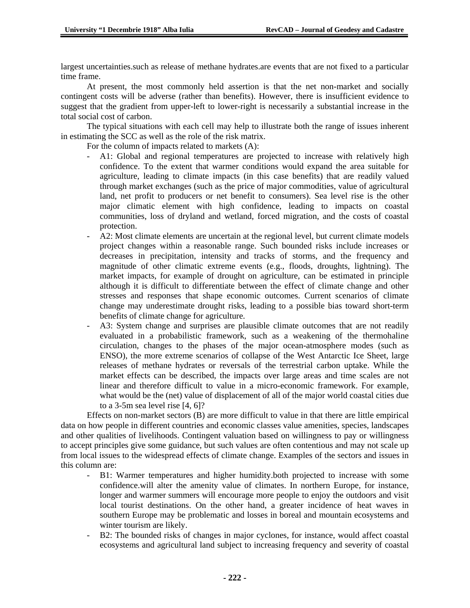largest uncertainties.such as release of methane hydrates.are events that are not fixed to a particular time frame.

At present, the most commonly held assertion is that the net non-market and socially contingent costs will be adverse (rather than benefits). However, there is insufficient evidence to suggest that the gradient from upper-left to lower-right is necessarily a substantial increase in the total social cost of carbon.

The typical situations with each cell may help to illustrate both the range of issues inherent in estimating the SCC as well as the role of the risk matrix.

For the column of impacts related to markets (A):

- A1: Global and regional temperatures are projected to increase with relatively high confidence. To the extent that warmer conditions would expand the area suitable for agriculture, leading to climate impacts (in this case benefits) that are readily valued through market exchanges (such as the price of major commodities, value of agricultural land, net profit to producers or net benefit to consumers). Sea level rise is the other major climatic element with high confidence, leading to impacts on coastal communities, loss of dryland and wetland, forced migration, and the costs of coastal protection.
- A2: Most climate elements are uncertain at the regional level, but current climate models project changes within a reasonable range. Such bounded risks include increases or decreases in precipitation, intensity and tracks of storms, and the frequency and magnitude of other climatic extreme events (e.g., floods, droughts, lightning). The market impacts, for example of drought on agriculture, can be estimated in principle although it is difficult to differentiate between the effect of climate change and other stresses and responses that shape economic outcomes. Current scenarios of climate change may underestimate drought risks, leading to a possible bias toward short-term benefits of climate change for agriculture.
- A3: System change and surprises are plausible climate outcomes that are not readily evaluated in a probabilistic framework, such as a weakening of the thermohaline circulation, changes to the phases of the major ocean-atmosphere modes (such as ENSO), the more extreme scenarios of collapse of the West Antarctic Ice Sheet, large releases of methane hydrates or reversals of the terrestrial carbon uptake. While the market effects can be described, the impacts over large areas and time scales are not linear and therefore difficult to value in a micro-economic framework. For example, what would be the (net) value of displacement of all of the major world coastal cities due to a 3-5m sea level rise [4, 6]?

Effects on non-market sectors (B) are more difficult to value in that there are little empirical data on how people in different countries and economic classes value amenities, species, landscapes and other qualities of livelihoods. Contingent valuation based on willingness to pay or willingness to accept principles give some guidance, but such values are often contentious and may not scale up from local issues to the widespread effects of climate change. Examples of the sectors and issues in this column are:

- B1: Warmer temperatures and higher humidity.both projected to increase with some confidence.will alter the amenity value of climates. In northern Europe, for instance, longer and warmer summers will encourage more people to enjoy the outdoors and visit local tourist destinations. On the other hand, a greater incidence of heat waves in southern Europe may be problematic and losses in boreal and mountain ecosystems and winter tourism are likely.
- B2: The bounded risks of changes in major cyclones, for instance, would affect coastal ecosystems and agricultural land subject to increasing frequency and severity of coastal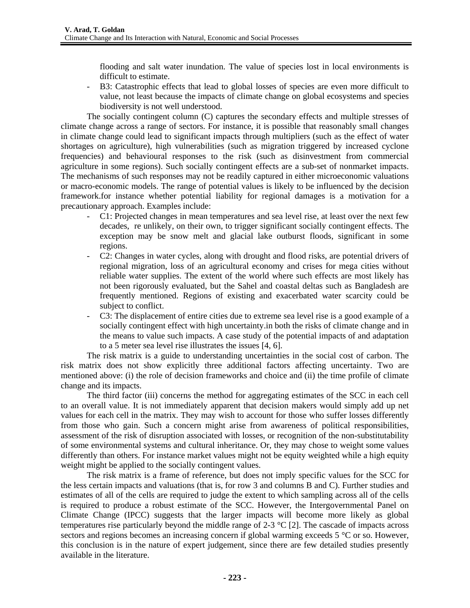flooding and salt water inundation. The value of species lost in local environments is difficult to estimate.

- B3: Catastrophic effects that lead to global losses of species are even more difficult to value, not least because the impacts of climate change on global ecosystems and species biodiversity is not well understood.

The socially contingent column (C) captures the secondary effects and multiple stresses of climate change across a range of sectors. For instance, it is possible that reasonably small changes in climate change could lead to significant impacts through multipliers (such as the effect of water shortages on agriculture), high vulnerabilities (such as migration triggered by increased cyclone frequencies) and behavioural responses to the risk (such as disinvestment from commercial agriculture in some regions). Such socially contingent effects are a sub-set of nonmarket impacts. The mechanisms of such responses may not be readily captured in either microeconomic valuations or macro-economic models. The range of potential values is likely to be influenced by the decision framework.for instance whether potential liability for regional damages is a motivation for a precautionary approach. Examples include:

- C1: Projected changes in mean temperatures and sea level rise, at least over the next few decades, re unlikely, on their own, to trigger significant socially contingent effects. The exception may be snow melt and glacial lake outburst floods, significant in some regions.
- C2: Changes in water cycles, along with drought and flood risks, are potential drivers of regional migration, loss of an agricultural economy and crises for mega cities without reliable water supplies. The extent of the world where such effects are most likely has not been rigorously evaluated, but the Sahel and coastal deltas such as Bangladesh are frequently mentioned. Regions of existing and exacerbated water scarcity could be subject to conflict.
- C3: The displacement of entire cities due to extreme sea level rise is a good example of a socially contingent effect with high uncertainty.in both the risks of climate change and in the means to value such impacts. A case study of the potential impacts of and adaptation to a 5 meter sea level rise illustrates the issues [4, 6].

The risk matrix is a guide to understanding uncertainties in the social cost of carbon. The risk matrix does not show explicitly three additional factors affecting uncertainty. Two are mentioned above: (i) the role of decision frameworks and choice and (ii) the time profile of climate change and its impacts.

The third factor (iii) concerns the method for aggregating estimates of the SCC in each cell to an overall value. It is not immediately apparent that decision makers would simply add up net values for each cell in the matrix. They may wish to account for those who suffer losses differently from those who gain. Such a concern might arise from awareness of political responsibilities, assessment of the risk of disruption associated with losses, or recognition of the non-substitutability of some environmental systems and cultural inheritance. Or, they may chose to weight some values differently than others. For instance market values might not be equity weighted while a high equity weight might be applied to the socially contingent values.

The risk matrix is a frame of reference, but does not imply specific values for the SCC for the less certain impacts and valuations (that is, for row 3 and columns B and C). Further studies and estimates of all of the cells are required to judge the extent to which sampling across all of the cells is required to produce a robust estimate of the SCC. However, the Intergovernmental Panel on Climate Change (IPCC) suggests that the larger impacts will become more likely as global temperatures rise particularly beyond the middle range of 2-3  $^{\circ}$ C [2]. The cascade of impacts across sectors and regions becomes an increasing concern if global warming exceeds 5 °C or so. However, this conclusion is in the nature of expert judgement, since there are few detailed studies presently available in the literature.